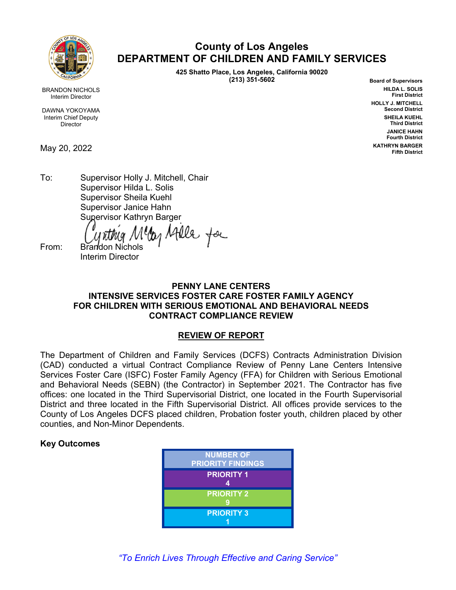

**County of Los Angeles DEPARTMENT OF CHILDREN AND FAMILY SERVICES**

> **425 Shatto Place, Los Angeles, California 90020 (213) 351-5602**

**Board of Supervisors HILDA L. SOLIS First District HOLLY J. MITCHELL Second District SHEILA KUEHL Third District JANICE HAHN Fourth District KATHRYN BARGER Fifth District**

BRANDON NICHOLS Interim Director

DAWNA YOKOYAMA Interim Chief Deputy Director

May 20, 2022

To: Supervisor Holly J. Mitchell, Chair Supervisor Hilda L. Solis Supervisor Sheila Kuehl Supervisor Janice Hahn Supervisor Kathryn Barger

y Atlle for

From: Brandon Nichols Interim Director

### **PENNY LANE CENTERS INTENSIVE SERVICES FOSTER CARE FOSTER FAMILY AGENCY FOR CHILDREN WITH SERIOUS EMOTIONAL AND BEHAVIORAL NEEDS CONTRACT COMPLIANCE REVIEW**

# **REVIEW OF REPORT**

The Department of Children and Family Services (DCFS) Contracts Administration Division (CAD) conducted a virtual Contract Compliance Review of Penny Lane Centers Intensive Services Foster Care (ISFC) Foster Family Agency (FFA) for Children with Serious Emotional and Behavioral Needs (SEBN) (the Contractor) in September 2021. The Contractor has five offices: one located in the Third Supervisorial District, one located in the Fourth Supervisorial District and three located in the Fifth Supervisorial District. All offices provide services to the County of Los Angeles DCFS placed children, Probation foster youth, children placed by other counties, and Non-Minor Dependents.

# **Key Outcomes**

| <b>NUMBER OF</b><br><b>PRIORITY FINDINGS</b> |
|----------------------------------------------|
| <b>PRIORITY 1</b><br>Δ                       |
| <b>PRIORITY 2</b>                            |
| <b>PRIORITY 3</b>                            |

*"To Enrich Lives Through Effective and Caring Service"*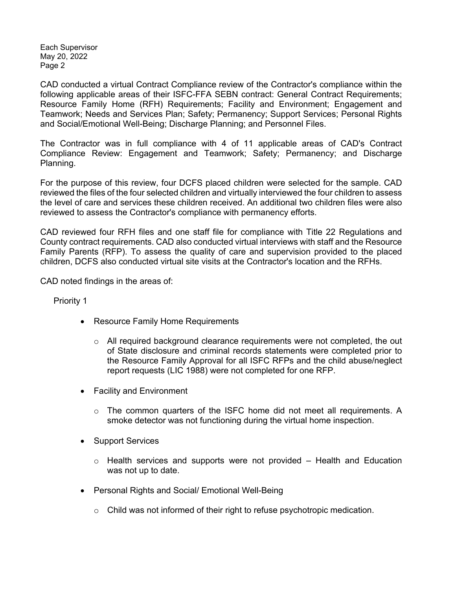Each Supervisor May 20, 2022 Page 2

CAD conducted a virtual Contract Compliance review of the Contractor's compliance within the following applicable areas of their ISFC-FFA SEBN contract: General Contract Requirements; Resource Family Home (RFH) Requirements; Facility and Environment; Engagement and Teamwork; Needs and Services Plan; Safety; Permanency; Support Services; Personal Rights and Social/Emotional Well-Being; Discharge Planning; and Personnel Files.

The Contractor was in full compliance with 4 of 11 applicable areas of CAD's Contract Compliance Review: Engagement and Teamwork; Safety; Permanency; and Discharge Planning.

For the purpose of this review, four DCFS placed children were selected for the sample. CAD reviewed the files of the four selected children and virtually interviewed the four children to assess the level of care and services these children received. An additional two children files were also reviewed to assess the Contractor's compliance with permanency efforts.

CAD reviewed four RFH files and one staff file for compliance with Title 22 Regulations and County contract requirements. CAD also conducted virtual interviews with staff and the Resource Family Parents (RFP). To assess the quality of care and supervision provided to the placed children, DCFS also conducted virtual site visits at the Contractor's location and the RFHs.

CAD noted findings in the areas of:

Priority 1

- Resource Family Home Requirements
	- $\circ$  All required background clearance requirements were not completed, the out of State disclosure and criminal records statements were completed prior to the Resource Family Approval for all ISFC RFPs and the child abuse/neglect report requests (LIC 1988) were not completed for one RFP.
- Facility and Environment
	- $\circ$  The common quarters of the ISFC home did not meet all requirements. A smoke detector was not functioning during the virtual home inspection.
- Support Services
	- $\circ$  Health services and supports were not provided Health and Education was not up to date.
- Personal Rights and Social/ Emotional Well-Being
	- $\circ$  Child was not informed of their right to refuse psychotropic medication.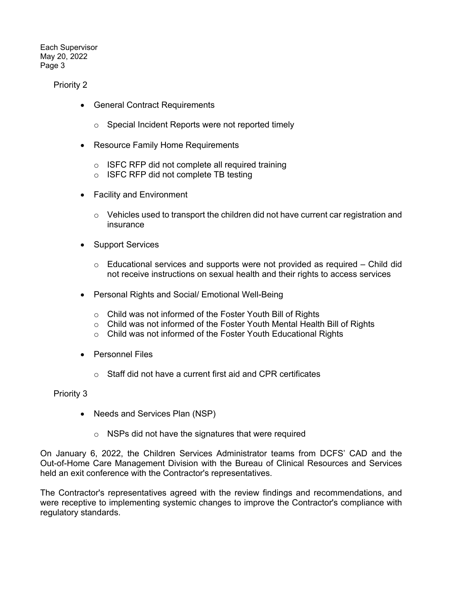Each Supervisor May 20, 2022 Page 3

Priority 2

- General Contract Requirements
	- o Special Incident Reports were not reported timely
- Resource Family Home Requirements
	- o ISFC RFP did not complete all required training
	- o ISFC RFP did not complete TB testing
- Facility and Environment
	- $\circ$  Vehicles used to transport the children did not have current car registration and insurance
- Support Services
	- $\circ$  Educational services and supports were not provided as required Child did not receive instructions on sexual health and their rights to access services
- Personal Rights and Social/ Emotional Well-Being
	- o Child was not informed of the Foster Youth Bill of Rights
	- o Child was not informed of the Foster Youth Mental Health Bill of Rights
	- o Child was not informed of the Foster Youth Educational Rights
- Personnel Files
	- $\circ$  Staff did not have a current first aid and CPR certificates

Priority 3

- Needs and Services Plan (NSP)
	- o NSPs did not have the signatures that were required

On January 6, 2022, the Children Services Administrator teams from DCFS' CAD and the Out-of-Home Care Management Division with the Bureau of Clinical Resources and Services held an exit conference with the Contractor's representatives.

The Contractor's representatives agreed with the review findings and recommendations, and were receptive to implementing systemic changes to improve the Contractor's compliance with regulatory standards.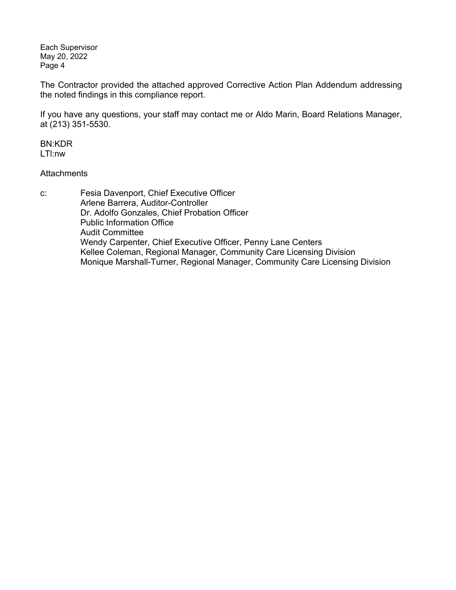Each Supervisor May 20, 2022 Page 4

The Contractor provided the attached approved Corrective Action Plan Addendum addressing the noted findings in this compliance report.

If you have any questions, your staff may contact me or Aldo Marin, Board Relations Manager, at (213) 351-5530.

BN:KDR LTl:nw

### **Attachments**

c: Fesia Davenport, Chief Executive Officer Arlene Barrera, Auditor-Controller Dr. Adolfo Gonzales, Chief Probation Officer Public Information Office Audit Committee Wendy Carpenter, Chief Executive Officer, Penny Lane Centers Kellee Coleman, Regional Manager, Community Care Licensing Division Monique Marshall-Turner, Regional Manager, Community Care Licensing Division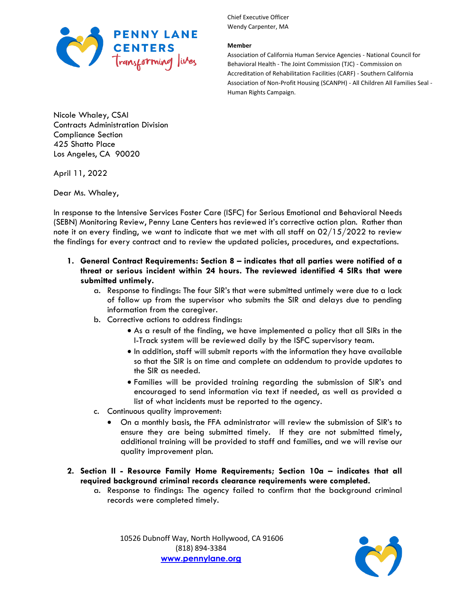

#### **Member**

Association of California Human Service Agencies - National Council for Behavioral Health - The Joint Commission (TJC) - Commission on Accreditation of Rehabilitation Facilities (CARF) - Southern California Association of Non-Profit Housing (SCANPH) - All Children All Families Seal - Human Rights Campaign.

Nicole Whaley, CSAI Contracts Administration Division Compliance Section 425 Shatto Place Los Angeles, CA 90020

April 11, 2022

Dear Ms. Whaley,

In response to the Intensive Services Foster Care (ISFC) for Serious Emotional and Behavioral Needs (SEBN) Monitoring Review, Penny Lane Centers has reviewed it's corrective action plan. Rather than note it on every finding, we want to indicate that we met with all staff on  $02/15/2022$  to review the findings for every contract and to review the updated policies, procedures, and expectations.

- **1. General Contract Requirements: Section 8 – indicates that all parties were notified of a threat or serious incident within 24 hours. The reviewed identified 4 SIRs that were submitted untimely.** 
	- a. Response to findings: The four SIR's that were submitted untimely were due to a lack of follow up from the supervisor who submits the SIR and delays due to pending information from the caregiver.
	- b. Corrective actions to address findings:
		- As a result of the finding, we have implemented a policy that all SIRs in the I-Track system will be reviewed daily by the ISFC supervisory team.
		- In addition, staff will submit reports with the information they have available so that the SIR is on time and complete an addendum to provide updates to the SIR as needed.
		- Families will be provided training regarding the submission of SIR's and encouraged to send information via text if needed, as well as provided a list of what incidents must be reported to the agency.
	- c. Continuous quality improvement:
		- On a monthly basis, the FFA administrator will review the submission of SIR's to ensure they are being submitted timely. If they are not submitted timely, additional training will be provided to staff and families, and we will revise our quality improvement plan.
- **2. Section II - Resource Family Home Requirements; Section 10a – indicates that all required background criminal records clearance requirements were completed.** 
	- a. Response to findings: The agency failed to confirm that the background criminal records were completed timely.

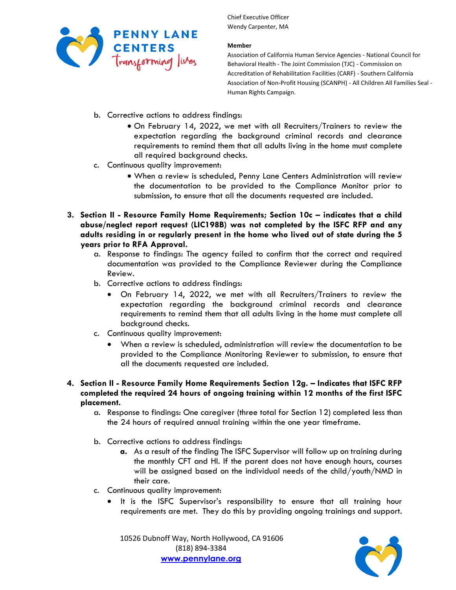

### **Member**

Association of California Human Service Agencies - National Council for Behavioral Health - The Joint Commission (TJC) - Commission on Accreditation of Rehabilitation Facilities (CARF) - Southern California Association of Non-Profit Housing (SCANPH) - All Children All Families Seal - Human Rights Campaign.

- b. Corrective actions to address findings:
	- On February 14, 2022, we met with all Recruiters/Trainers to review the expectation regarding the background criminal records and clearance requirements to remind them that all adults living in the home must complete all required background checks.
- c. Continuous quality improvement:
	- When a review is scheduled, Penny Lane Centers Administration will review the documentation to be provided to the Compliance Monitor prior to submission, to ensure that all the documents requested are included.
- **3. Section II - Resource Family Home Requirements; Section 10c – indicates that a child abuse/neglect report request (LIC198B) was not completed by the ISFC RFP and any adults residing in or regularly present in the home who lived out of state during the 5 years prior to RFA Approval.** 
	- a. Response to findings: The agency failed to confirm that the correct and required documentation was provided to the Compliance Reviewer during the Compliance Review.
	- b. Corrective actions to address findings:
		- On February 14, 2022, we met with all Recruiters/Trainers to review the expectation regarding the background criminal records and clearance requirements to remind them that all adults living in the home must complete all background checks.
	- c. Continuous quality improvement:
		- When a review is scheduled, administration will review the documentation to be provided to the Compliance Monitoring Reviewer to submission, to ensure that all the documents requested are included.
- **4. Section II - Resource Family Home Requirements Section 12g. – Indicates that ISFC RFP completed the required 24 hours of ongoing training within 12 months of the first ISFC placement.** 
	- a. Response to findings: One caregiver (three total for Section 12) completed less than the 24 hours of required annual training within the one year timeframe.
	- b. Corrective actions to address findings:
		- **a.** As a result of the finding The ISFC Supervisor will follow up on training during the monthly CFT and HI. If the parent does not have enough hours, courses will be assigned based on the individual needs of the child/youth/NMD in their care.
	- c. Continuous quality improvement:
		- It is the ISFC Supervisor's responsibility to ensure that all training hour requirements are met. They do this by providing ongoing trainings and support.

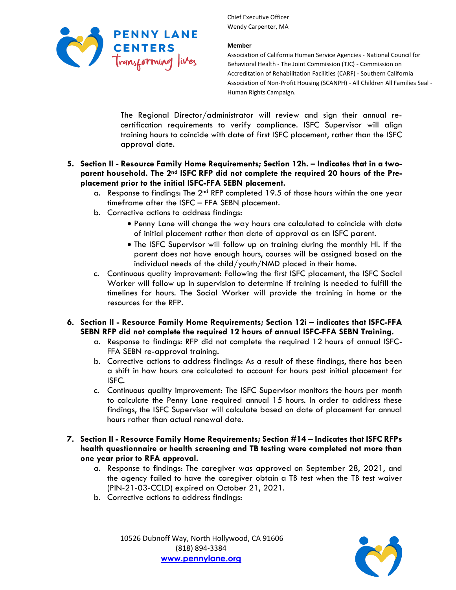

### **Member**

Association of California Human Service Agencies - National Council for Behavioral Health - The Joint Commission (TJC) - Commission on Accreditation of Rehabilitation Facilities (CARF) - Southern California Association of Non-Profit Housing (SCANPH) - All Children All Families Seal - Human Rights Campaign.

The Regional Director/administrator will review and sign their annual recertification requirements to verify compliance. ISFC Supervisor will align training hours to coincide with date of first ISFC placement, rather than the ISFC approval date.

### **5. Section II - Resource Family Home Requirements; Section 12h. – Indicates that in a twoparent household. The 2nd ISFC RFP did not complete the required 20 hours of the Preplacement prior to the initial ISFC-FFA SEBN placement.**

- a. Response to findings: The 2<sup>nd</sup> RFP completed 19.5 of those hours within the one year timeframe after the ISFC – FFA SEBN placement.
- b. Corrective actions to address findings:
	- Penny Lane will change the way hours are calculated to coincide with date of initial placement rather than date of approval as an ISFC parent.
	- The ISFC Supervisor will follow up on training during the monthly HI. If the parent does not have enough hours, courses will be assigned based on the individual needs of the child/youth/NMD placed in their home.
- c. Continuous quality improvement: Following the first ISFC placement, the ISFC Social Worker will follow up in supervision to determine if training is needed to fulfill the timelines for hours. The Social Worker will provide the training in home or the resources for the RFP.

## **6. Section II - Resource Family Home Requirements; Section 12i – indicates that ISFC-FFA SEBN RFP did not complete the required 12 hours of annual ISFC-FFA SEBN Training.**

- a. Response to findings: RFP did not complete the required 12 hours of annual ISFC-FFA SEBN re-approval training.
- b. Corrective actions to address findings: As a result of these findings, there has been a shift in how hours are calculated to account for hours post initial placement for ISFC.
- c. Continuous quality improvement: The ISFC Supervisor monitors the hours per month to calculate the Penny Lane required annual 15 hours. In order to address these findings, the ISFC Supervisor will calculate based on date of placement for annual hours rather than actual renewal date.
- **7. Section II - Resource Family Home Requirements; Section #14 – Indicates that ISFC RFPs health questionnaire or health screening and TB testing were completed not more than one year prior to RFA approval.** 
	- a. Response to findings: The caregiver was approved on September 28, 2021, and the agency failed to have the caregiver obtain a TB test when the TB test waiver (PIN-21-03-CCLD) expired on October 21, 2021.
	- b. Corrective actions to address findings:

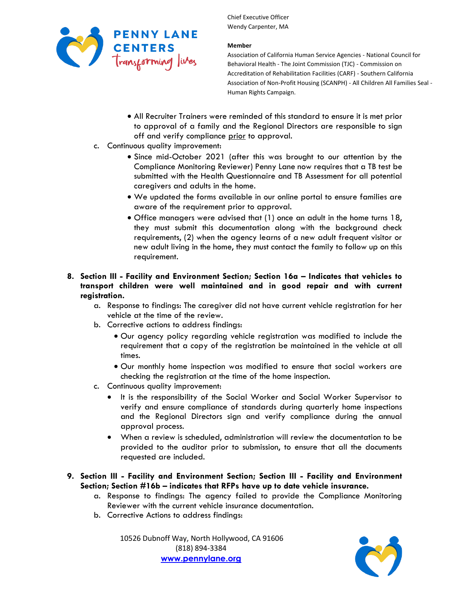

### **Member**

Association of California Human Service Agencies - National Council for Behavioral Health - The Joint Commission (TJC) - Commission on Accreditation of Rehabilitation Facilities (CARF) - Southern California Association of Non-Profit Housing (SCANPH) - All Children All Families Seal - Human Rights Campaign.

- All Recruiter Trainers were reminded of this standard to ensure it is met prior to approval of a family and the Regional Directors are responsible to sign off and verify compliance prior to approval.
- c. Continuous quality improvement:
	- Since mid-October 2021 (after this was brought to our attention by the Compliance Monitoring Reviewer) Penny Lane now requires that a TB test be submitted with the Health Questionnaire and TB Assessment for all potential caregivers and adults in the home.
	- We updated the forms available in our online portal to ensure families are aware of the requirement prior to approval.
	- Office managers were advised that (1) once an adult in the home turns 18, they must submit this documentation along with the background check requirements, (2) when the agency learns of a new adult frequent visitor or new adult living in the home, they must contact the family to follow up on this requirement.
- **8. Section III - Facility and Environment Section; Section 16a – Indicates that vehicles to transport children were well maintained and in good repair and with current registration.** 
	- a. Response to findings: The caregiver did not have current vehicle registration for her vehicle at the time of the review.
	- b. Corrective actions to address findings:
		- Our agency policy regarding vehicle registration was modified to include the requirement that a copy of the registration be maintained in the vehicle at all times.
		- Our monthly home inspection was modified to ensure that social workers are checking the registration at the time of the home inspection.
	- c. Continuous quality improvement:
		- It is the responsibility of the Social Worker and Social Worker Supervisor to verify and ensure compliance of standards during quarterly home inspections and the Regional Directors sign and verify compliance during the annual approval process.
		- When a review is scheduled, administration will review the documentation to be provided to the auditor prior to submission, to ensure that all the documents requested are included.
- **9. Section III - Facility and Environment Section; Section III - Facility and Environment Section; Section #16b – indicates that RFPs have up to date vehicle insurance.** 
	- a. Response to findings: The agency failed to provide the Compliance Monitoring Reviewer with the current vehicle insurance documentation.
	- b. Corrective Actions to address findings:

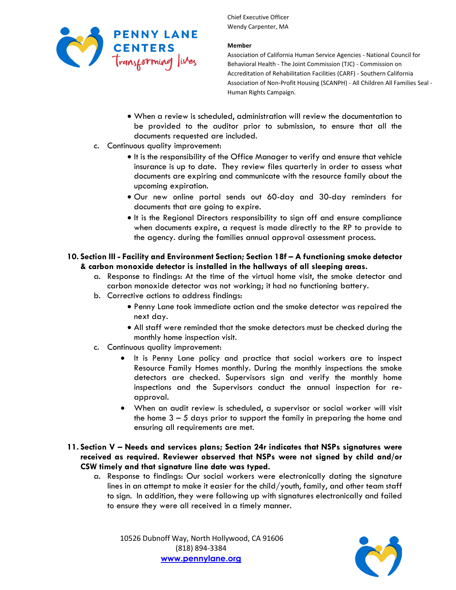

### **Member**

Association of California Human Service Agencies - National Council for Behavioral Health - The Joint Commission (TJC) - Commission on Accreditation of Rehabilitation Facilities (CARF) - Southern California Association of Non-Profit Housing (SCANPH) - All Children All Families Seal - Human Rights Campaign.

- When a review is scheduled, administration will review the documentation to be provided to the auditor prior to submission, to ensure that all the documents requested are included.
- c. Continuous quality improvement:
	- It is the responsibility of the Office Manager to verify and ensure that vehicle insurance is up to date. They review files quarterly in order to assess what documents are expiring and communicate with the resource family about the upcoming expiration.
	- Our new online portal sends out 60-day and 30-day reminders for documents that are going to expire.
	- It is the Regional Directors responsibility to sign off and ensure compliance when documents expire, a request is made directly to the RP to provide to the agency. during the families annual approval assessment process.

## **10. Section III - Facility and Environment Section; Section 18f - A functioning smoke detector & carbon monoxide detector is installed in the hallways of all sleeping areas.**

- a. Response to findings: At the time of the virtual home visit, the smoke detector and carbon monoxide detector was not working; it had no functioning battery.
- b. Corrective actions to address findings:
	- Penny Lane took immediate action and the smoke detector was repaired the next day.
	- All staff were reminded that the smoke detectors must be checked during the monthly home inspection visit.
- c. Continuous quality improvement:
	- It is Penny Lane policy and practice that social workers are to inspect Resource Family Homes monthly. During the monthly inspections the smoke detectors are checked. Supervisors sign and verify the monthly home inspections and the Supervisors conduct the annual inspection for reapproval.
	- When an audit review is scheduled, a supervisor or social worker will visit the home 3 – 5 days prior to support the family in preparing the home and ensuring all requirements are met.
- **11. Section V – Needs and services plans; Section 24r indicates that NSPs signatures were received as required. Reviewer observed that NSPs were not signed by child and/or CSW timely and that signature line date was typed.** 
	- a. Response to findings: Our social workers were electronically dating the signature lines in an attempt to make it easier for the child/youth, family, and other team staff to sign. In addition, they were following up with signatures electronically and failed to ensure they were all received in a timely manner.

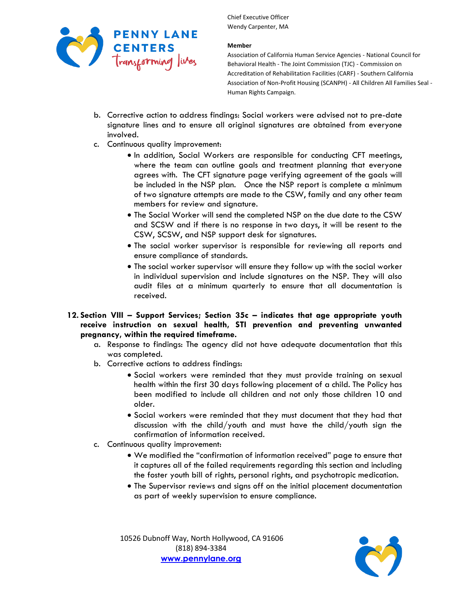

### **Member**

Association of California Human Service Agencies - National Council for Behavioral Health - The Joint Commission (TJC) - Commission on Accreditation of Rehabilitation Facilities (CARF) - Southern California Association of Non-Profit Housing (SCANPH) - All Children All Families Seal - Human Rights Campaign.

- b. Corrective action to address findings: Social workers were advised not to pre-date signature lines and to ensure all original signatures are obtained from everyone involved.
- c. Continuous quality improvement:
	- In addition, Social Workers are responsible for conducting CFT meetings, where the team can outline goals and treatment planning that everyone agrees with. The CFT signature page verifying agreement of the goals will be included in the NSP plan. Once the NSP report is complete a minimum of two signature attempts are made to the CSW, family and any other team members for review and signature.
	- The Social Worker will send the completed NSP on the due date to the CSW and SCSW and if there is no response in two days, it will be resent to the CSW, SCSW, and NSP support desk for signatures.
	- The social worker supervisor is responsible for reviewing all reports and ensure compliance of standards.
	- The social worker supervisor will ensure they follow up with the social worker in individual supervision and include signatures on the NSP. They will also audit files at a minimum quarterly to ensure that all documentation is received.
- **12. Section VIII – Support Services; Section 35c – indicates that age appropriate youth receive instruction on sexual health, STI prevention and preventing unwanted pregnancy, within the required timeframe.** 
	- a. Response to findings: The agency did not have adequate documentation that this was completed.
	- b. Corrective actions to address findings:
		- Social workers were reminded that they must provide training on sexual health within the first 30 days following placement of a child. The Policy has been modified to include all children and not only those children 10 and older.
		- Social workers were reminded that they must document that they had that discussion with the child/youth and must have the child/youth sign the confirmation of information received.
	- c. Continuous quality improvement:
		- We modified the "confirmation of information received" page to ensure that it captures all of the failed requirements regarding this section and including the foster youth bill of rights, personal rights, and psychotropic medication.
		- The Supervisor reviews and signs off on the initial placement documentation as part of weekly supervision to ensure compliance.

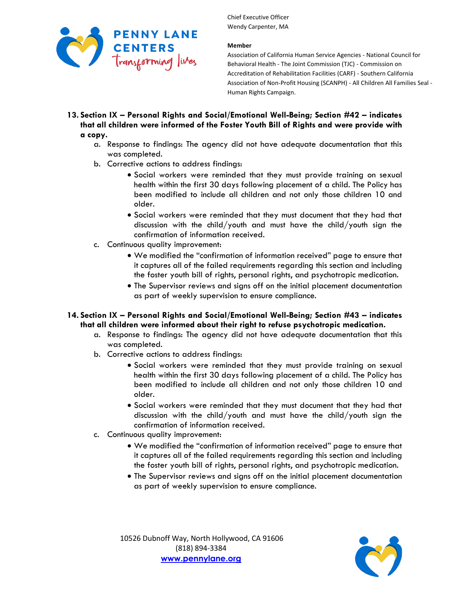

### **Member**

Association of California Human Service Agencies - National Council for Behavioral Health - The Joint Commission (TJC) - Commission on Accreditation of Rehabilitation Facilities (CARF) - Southern California Association of Non-Profit Housing (SCANPH) - All Children All Families Seal - Human Rights Campaign.

- **13. Section IX – Personal Rights and Social/Emotional Well-Being; Section #42 – indicates that all children were informed of the Foster Youth Bill of Rights and were provide with a copy.** 
	- a. Response to findings: The agency did not have adequate documentation that this was completed.
	- b. Corrective actions to address findings:
		- Social workers were reminded that they must provide training on sexual health within the first 30 days following placement of a child. The Policy has been modified to include all children and not only those children 10 and older.
		- Social workers were reminded that they must document that they had that discussion with the child/youth and must have the child/youth sign the confirmation of information received.
	- c. Continuous quality improvement:
		- We modified the "confirmation of information received" page to ensure that it captures all of the failed requirements regarding this section and including the foster youth bill of rights, personal rights, and psychotropic medication.
		- The Supervisor reviews and signs off on the initial placement documentation as part of weekly supervision to ensure compliance.
- **14. Section IX – Personal Rights and Social/Emotional Well-Being; Section #43 – indicates that all children were informed about their right to refuse psychotropic medication.** 
	- a. Response to findings: The agency did not have adequate documentation that this was completed.
	- b. Corrective actions to address findings:
		- Social workers were reminded that they must provide training on sexual health within the first 30 days following placement of a child. The Policy has been modified to include all children and not only those children 10 and older.
		- Social workers were reminded that they must document that they had that discussion with the child/youth and must have the child/youth sign the confirmation of information received.
	- c. Continuous quality improvement:
		- We modified the "confirmation of information received" page to ensure that it captures all of the failed requirements regarding this section and including the foster youth bill of rights, personal rights, and psychotropic medication.
		- The Supervisor reviews and signs off on the initial placement documentation as part of weekly supervision to ensure compliance.

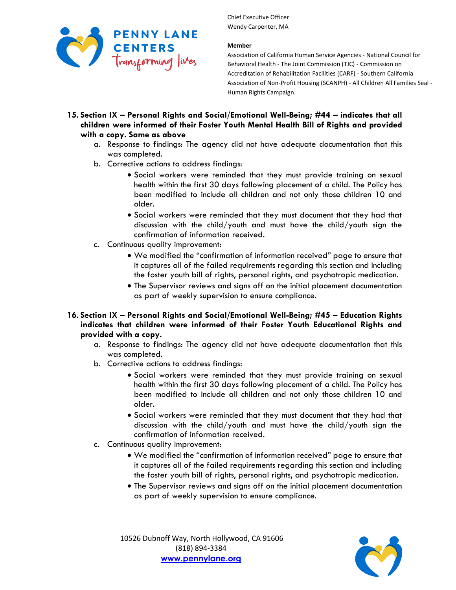

### **Member**

Association of California Human Service Agencies - National Council for Behavioral Health - The Joint Commission (TJC) - Commission on Accreditation of Rehabilitation Facilities (CARF) - Southern California Association of Non-Profit Housing (SCANPH) - All Children All Families Seal - Human Rights Campaign.

- **15. Section IX – Personal Rights and Social/Emotional Well-Being; #44 – indicates that all children were informed of their Foster Youth Mental Health Bill of Rights and provided with a copy. Same as above**
	- a. Response to findings: The agency did not have adequate documentation that this was completed.
	- b. Corrective actions to address findings:
		- Social workers were reminded that they must provide training on sexual health within the first 30 days following placement of a child. The Policy has been modified to include all children and not only those children 10 and older.
		- Social workers were reminded that they must document that they had that discussion with the child/youth and must have the child/youth sign the confirmation of information received.
	- c. Continuous quality improvement:
		- We modified the "confirmation of information received" page to ensure that it captures all of the failed requirements regarding this section and including the foster youth bill of rights, personal rights, and psychotropic medication.
		- The Supervisor reviews and signs off on the initial placement documentation as part of weekly supervision to ensure compliance.
- **16. Section IX – Personal Rights and Social/Emotional Well-Being; #45 – Education Rights indicates that children were informed of their Foster Youth Educational Rights and provided with a copy.**
	- a. Response to findings: The agency did not have adequate documentation that this was completed.
	- b. Corrective actions to address findings:
		- Social workers were reminded that they must provide training on sexual health within the first 30 days following placement of a child. The Policy has been modified to include all children and not only those children 10 and older.
		- Social workers were reminded that they must document that they had that discussion with the child/youth and must have the child/youth sign the confirmation of information received.
	- c. Continuous quality improvement:
		- We modified the "confirmation of information received" page to ensure that it captures all of the failed requirements regarding this section and including the foster youth bill of rights, personal rights, and psychotropic medication.
		- The Supervisor reviews and signs off on the initial placement documentation as part of weekly supervision to ensure compliance.